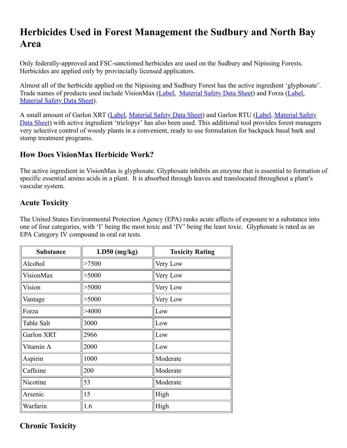# **Herbicides Used in Forest Management the Sudbury and North Bay Area**

Only federally-approved and FSC-sanctioned herbicides are used on the Sudbury and Nipissing Forests. Herbicides are applied only by provincially licensed applicators.

Almost all of the herbicide applied on the Nipissing and Sudbury Forest has the active ingredient 'glyphosate'. Trade names of products used include VisionMax [\(Label](http://www.monsanto.ca/products/documents/visionmax_label_en.pdf), [Material Safety Data Sheet](file:///C:/Users/Mark/OneDrive%20-%20Nipissing%20Forest%20Resource%20Management%20Inc/_NFRM/Website/WebsiteArchive/SupDocs/Glyphosate%20Info/MSDSs/VisionMaxMSDS.pdf)) and Forza ([Label,](file:///C:/Users/Mark/OneDrive%20-%20Nipissing%20Forest%20Resource%20Management%20Inc/_NFRM/Website/WebsiteArchive/downloads/herbicide_plan/26401_Approved_Forza%20label_E_03Aug2011_Sub%20No%202010-5702.pdf) [Material Safety Data Sheet\)](file:///C:/Users/Mark/OneDrive%20-%20Nipissing%20Forest%20Resource%20Management%20Inc/_NFRM/Website/WebsiteArchive/downloads/herbicide_plan/Forza%20Canada%20MSDS%20English_10Nov2010.pdf).

[A small amount of Garlon XRT \(](http://msdssearch.dow.com/PublishedLiteratureDAS/dh_094a/0901b8038094a59f.pdf?filepath=ca/pdfs/noreg/010-23035.pdf&fromPage=GetDoc)[Label](http://msdssearch.dow.com/PublishedLiteratureDAS/dh_0985/0901b8038098500f.pdf?filepath=ca/pdfs/noreg/010-22247.pdf&fromPage=GetDoc)[, M](http://msdssearch.dow.com/PublishedLiteratureDAS/dh_094a/0901b8038094a59f.pdf?filepath=ca/pdfs/noreg/010-23035.pdf&fromPage=GetDoc)[aterial Safety Data Sheet](http://msdssearch.dow.com/PublishedLiteratureDAS/dh_0956/0901b80380956093.pdf?filepath=ca/pdfs/noreg/010-22448.pdf&fromPage=GetDoc)[\) and Garlon RTU \(](http://msdssearch.dow.com/PublishedLiteratureDAS/dh_094a/0901b8038094a59f.pdf?filepath=ca/pdfs/noreg/010-23035.pdf&fromPage=GetDoc)[Labe](http://msdssearch.dow.com/PublishedLiteratureDAS/dh_094a/0901b8038094a59a.pdf?filepath=ca/pdfs/noreg/010-23033.pdf&fromPage=GetDoc)[l, Material Safety](http://msdssearch.dow.com/PublishedLiteratureDAS/dh_094a/0901b8038094a59f.pdf?filepath=ca/pdfs/noreg/010-23035.pdf&fromPage=GetDoc) Data Sheet) with active ingredient 'triclopyr' has also been used. This additional tool provides forest managers very selective control of woody plants in a convenient, ready to use formulation for backpack basal bark and stump treatment programs.

## **How Does VisionMax Herbicide Work?**

The active ingredient in VisionMax is glyphosate. Glyphosate inhibits an enzyme that is essential to formation of specific essential amino acids in a plant. It is absorbed through leaves and translocated throughout a plant's vascular system.

## **Acute Toxicity**

The United States Environmental Protection Agency (EPA) ranks acute affects of exposure to a substance into one of four categories, with 'I' being the most toxic and 'IV' being the least toxic. Glyphosate is rated as an EPA Category IV compound in oral rat tests.

| <b>Substance</b> | $LD50$ (mg/kg) | <b>Toxicity Rating</b> |
|------------------|----------------|------------------------|
| Alcohol          | >7500          | Very Low               |
| <b>VisionMax</b> | > 5000         | Very Low               |
| Vision           | > 5000         | Very Low               |
| Vantage          | > 5000         | Very Low               |
| Forza            | >4000          | Low                    |
| Table Salt       | 3000           | Low                    |
| Garlon XRT       | 2966           | Low                    |
| Vitamin A        | 2000           | Low                    |
| Aspirin          | 1000           | Moderate               |
| Caffeine         | 200            | Moderate               |
| Nicotine         | 53             | Moderate               |
| Arsenic          | 15             | High                   |
| Warfarin         | 1.6            | High                   |

## **Chronic Toxicity**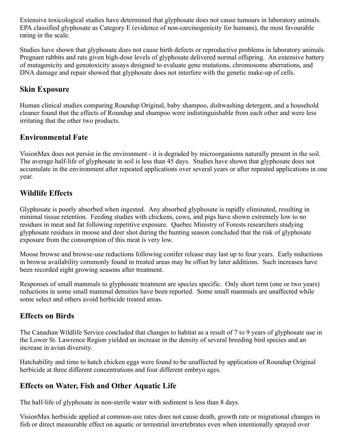Extensive toxicological studies have determined that glyphosate does not cause tumours in laboratory animals. EPA classified glyphosate as Category E (evidence of non-carcinogenicity for humans), the most favourable rating in the scale.

Studies have shown that glyphosate does not cause birth defects or reproductive problems in laboratory animals. Pregnant rabbits and rats given high-dose levels of glyphosate delivered normal offspring. An extensive battery of mutagenicity and genotoxicity assays designed to evaluate gene mutations, chromosome aberrations, and DNA damage and repair showed that glyphosate does not interfere with the genetic make-up of cells.

### **Skin Exposure**

Human clinical studies comparing Roundup Original, baby shampoo, dishwashing detergent, and a household cleaner found that the effects of Roundup and shampoo were indistinguishable from each other and were less irritating that the other two products.

### **Environmental Fate**

VisionMax does not persist in the environment - it is degraded by microorganisms naturally present in the soil. The average half-life of glyphosate in soil is less than 45 days. Studies have shown that glyphosate does not accumulate in the environment after repeated applications over several years or after repeated applications in one year.

## **Wildlife Effects**

Glyphosate is poorly absorbed when ingested. Any absorbed glyphosate is rapidly eliminated, resulting in minimal tissue retention. Feeding studies with chickens, cows, and pigs have shown extremely low to no residues in meat and fat following repetitive exposure. Quebec Ministry of Forests researchers studying glyphosate residues in moose and deer shot during the hunting season concluded that the risk of glyphosate exposure from the consumption of this meat is very low.

Moose browse and browse-use reductions following conifer release may last up to four years. Early reductions in browse availability commonly found in treated areas may be offset by later additions. Such increases have been recorded eight growing seasons after treatment.

Responses of small mammals to glyphosate treatment are species specific. Only short term (one or two years) reductions in some small mammal densities have been reported. Some small mammals are unaffected while some select and others avoid herbicide treated areas.

### **Effects on Birds**

The Canadian Wildlife Service concluded that changes to habitat as a result of 7 to 9 years of glyphosate use in the Lower St. Lawrence Region yielded an increase in the density of several breeding bird species and an increase in avian diversity.

Hatchability and time to hatch chicken eggs were found to be unaffected by application of Roundup Original herbicide at three different concentrations and four different embryo ages.

## **Effects on Water, Fish and Other Aquatic Life**

The half-life of glyphosate in non-sterile water with sediment is less than 8 days.

VisionMax herbicide applied at common-use rates does not cause death, growth rate or migrational changes in fish or direct measurable effect on aquatic or terrestrial invertebrates even when intentionally sprayed over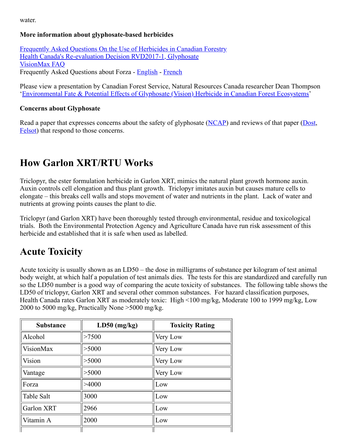water.

#### **More information about glyphosate-based herbicides**

[Frequently Asked Questions On the Use of Herbicides in Canadian Forestry](file:///C:/Users/Mark/OneDrive%20-%20Nipissing%20Forest%20Resource%20Management%20Inc/_NFRM/Website/WebsiteArchive/SupDocs/FAQ%20on%20Forest%20Use%20Herbicides_dec15_2009.pdf) [Health Canada's Re-evaluation Decision RVD2017-1, Glyphosate](http://www.hc-sc.gc.ca/cps-spc/pubs/pest/_decisions/rvd2017-01/index-eng.php) [VisionMax FAQ](https://www.engageagro.com/Brochure/117/E/1.pdf) Frequently Asked Questions about Forza - [English](file:///C:/Users/Mark/OneDrive%20-%20Nipissing%20Forest%20Resource%20Management%20Inc/_NFRM/Website/WebsiteArchive/downloads/herbicide_plan/Forza%20English%20Q%20&%20A%20Brochure.pdf) - [French](file:///C:/Users/Mark/OneDrive%20-%20Nipissing%20Forest%20Resource%20Management%20Inc/_NFRM/Website/WebsiteArchive/downloads/herbicide_plan/Forza%20French%20Q%20&%20A%20Brochure.pdf)

Please view a presentation by Canadian Forest Service, Natural Resources Canada researcher Dean Thompson '[Environmental Fate & Potential Effects of Glyphosate \(Vision\) Herbicide in Canadian Forest Ecosystems](file:///C:/Users/Mark/OneDrive%20-%20Nipissing%20Forest%20Resource%20Management%20Inc/_NFRM/Website/WebsiteArchive/SupDocs/Glyphosate%20Info/Glyphosate%20General/D.G.%20Thompson%202006.pdf)'

#### **Concerns about Glyphosate**

Read a paper that expresses concerns about the safety of glyphosate ([NCAP\)](file:///C:/Users/Mark/OneDrive%20-%20Nipissing%20Forest%20Resource%20Management%20Inc/_NFRM/Website/WebsiteArchive/SupDocs/Glyphosate%20Info/Anti-Glyphosate%20Paper%20&%20Response/NCAP%20Anti-Glyphosate%20Article.pdf) and reviews of that paper [\(Dost](file:///C:/Users/Mark/OneDrive%20-%20Nipissing%20Forest%20Resource%20Management%20Inc/_NFRM/Website/WebsiteArchive/SupDocs/Glyphosate%20Info/Anti-Glyphosate%20Paper%20&%20Response/Dost%20NCAP%20Evaluation.pdf), [Felsot](file:///C:/Users/Mark/OneDrive%20-%20Nipissing%20Forest%20Resource%20Management%20Inc/_NFRM/Website/WebsiteArchive/SupDocs/Glyphosate%20Info/Anti-Glyphosate%20Paper%20&%20Response/Felsot%20NCAP%20Review.pdf)) that respond to those concerns.

## **How Garlon XRT/RTU Works**

Triclopyr, the ester formulation herbicide in Garlon XRT, mimics the natural plant growth hormone auxin. Auxin controls cell elongation and thus plant growth. Triclopyr imitates auxin but causes mature cells to elongate – this breaks cell walls and stops movement of water and nutrients in the plant. Lack of water and nutrients at growing points causes the plant to die.

Triclopyr (and Garlon XRT) have been thoroughly tested through environmental, residue and toxicological trials. Both the Environmental Protection Agency and Agriculture Canada have run risk assessment of this herbicide and established that it is safe when used as labelled.

## **Acute Toxicity**

Acute toxicity is usually shown as an LD50 – the dose in milligrams of substance per kilogram of test animal body weight, at which half a population of test animals dies. The tests for this are standardized and carefully run so the LD50 number is a good way of comparing the acute toxicity of substances. The following table shows the LD50 of triclopyr, Garlon XRT and several other common substances. For hazard classification purposes, Health Canada rates Garlon XRT as moderately toxic: High <100 mg/kg, Moderate 100 to 1999 mg/kg, Low 2000 to 5000 mg/kg, Practically None >5000 mg/kg.

| <b>Substance</b> | $LD50$ (mg/kg) | <b>Toxicity Rating</b> |
|------------------|----------------|------------------------|
| Alcohol          | >7500          | Very Low               |
| VisionMax        | > 5000         | Very Low               |
| Vision           | > 5000         | Very Low               |
| Vantage          | > 5000         | Very Low               |
| Forza            | >4000          | Low                    |
| Table Salt       | 3000           | Low                    |
| Garlon XRT       | 2966           | Low                    |
| Vitamin A        | 2000           | Low                    |
|                  |                |                        |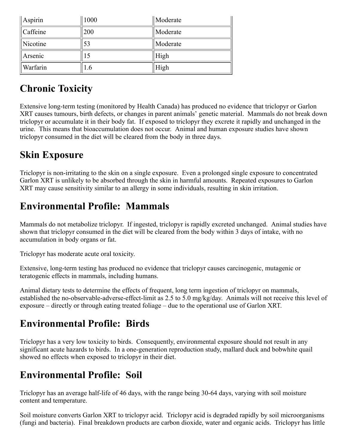| $\parallel$ Aspirin  | 1000 | $\parallel$ Moderate |
|----------------------|------|----------------------|
| Caffeine             | 200  | Moderate             |
| $\parallel$ Nicotine | 53   | Moderate             |
| Arsenic              | 15   | High                 |
| Warfarin             | 1.6  | High                 |

# **Chronic Toxicity**

Extensive long-term testing (monitored by Health Canada) has produced no evidence that triclopyr or Garlon XRT causes tumours, birth defects, or changes in parent animals' genetic material. Mammals do not break down triclopyr or accumulate it in their body fat. If exposed to triclopyr they excrete it rapidly and unchanged in the urine. This means that bioaccumulation does not occur. Animal and human exposure studies have shown triclopyr consumed in the diet will be cleared from the body in three days.

# **Skin Exposure**

Triclopyr is non-irritating to the skin on a single exposure. Even a prolonged single exposure to concentrated Garlon XRT is unlikely to be absorbed through the skin in harmful amounts. Repeated exposures to Garlon XRT may cause sensitivity similar to an allergy in some individuals, resulting in skin irritation.

# **Environmental Profile: Mammals**

Mammals do not metabolize triclopyr. If ingested, triclopyr is rapidly excreted unchanged. Animal studies have shown that triclopyr consumed in the diet will be cleared from the body within 3 days of intake, with no accumulation in body organs or fat.

Triclopyr has moderate acute oral toxicity.

Extensive, long-term testing has produced no evidence that triclopyr causes carcinogenic, mutagenic or teratogenic effects in mammals, including humans.

Animal dietary tests to determine the effects of frequent, long term ingestion of triclopyr on mammals, established the no-observable-adverse-effect-limit as 2.5 to 5.0 mg/kg/day. Animals will not receive this level of exposure – directly or through eating treated foliage – due to the operational use of Garlon XRT.

# **Environmental Profile: Birds**

Triclopyr has a very low toxicity to birds. Consequently, environmental exposure should not result in any significant acute hazards to birds. In a one-generation reproduction study, mallard duck and bobwhite quail showed no effects when exposed to triclopyr in their diet.

# **Environmental Profile: Soil**

Triclopyr has an average half-life of 46 days, with the range being 30-64 days, varying with soil moisture content and temperature.

Soil moisture converts Garlon XRT to triclopyr acid. Triclopyr acid is degraded rapidly by soil microorganisms (fungi and bacteria). Final breakdown products are carbon dioxide, water and organic acids. Triclopyr has little